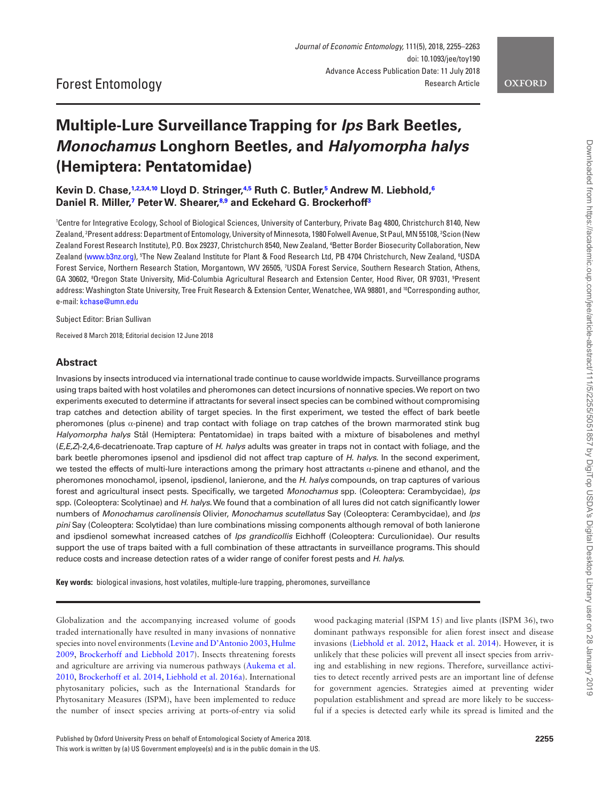# **Multiple-Lure Surveillance Trapping for** *Ips* **Bark Beetles,**  *Monochamus* **Longhorn Beetles, and** *Halyomorpha halys* **(Hemiptera: Pentatomidae)**

**Kevin D. Chase[,1](#page-0-0)[,2](#page-0-1),[3](#page-0-2),[4,](#page-0-3)[10](#page-0-4) Lloyd D. Stringer,[4](#page-0-3)[,5](#page-0-5) Ruth C. Butler,[5](#page-0-5) Andrew M. Liebhold[,6](#page-0-6) Daniel R. Miller[,7](#page-0-7) Peter W. Shearer[,8,](#page-0-8)[9](#page-0-9) and Eckehard G. Brockerhof[f3](#page-0-2)**

<span id="page-0-7"></span><span id="page-0-6"></span><span id="page-0-5"></span><span id="page-0-3"></span><span id="page-0-2"></span><span id="page-0-1"></span><span id="page-0-0"></span>1 Centre for Integrative Ecology, School of Biological Sciences, University of Canterbury, Private Bag 4800, Christchurch 8140, New Zealand, <sup>2</sup>Present address: Department of Entomology, University of Minnesota, 1980 Folwell Avenue, St Paul, MN 55108, <sup>3</sup>Scion (New Zealand Forest Research Institute), P.O. Box 29237, Christchurch 8540, New Zealand, 4 Better Border Biosecurity Collaboration, New Zealand ([www.b3nz.org\)](http://www.b3nz.org), <sup>s</sup>The New Zealand Institute for Plant & Food Research Ltd, PB 4704 Christchurch, New Zealand, <sup>6</sup>USDA Forest Service, Northern Research Station, Morgantown, WV 26505, <sup>7</sup>USDA Forest Service, Southern Research Station, Athens, GA 30602, 8 Oregon State University, Mid-Columbia Agricultural Research and Extension Center, Hood River, OR 97031, 9 Present address: Washington State University, Tree Fruit Research & Extension Center, Wenatchee, WA 98801, and 10Corresponding author, e-mail: [kchase@umn.edu](mailto:kchase@umn.edu?subject=)

<span id="page-0-9"></span><span id="page-0-8"></span><span id="page-0-4"></span>Subject Editor: Brian Sullivan

Received 8 March 2018; Editorial decision 12 June 2018

#### **Abstract**

Invasions by insects introduced via international trade continue to cause worldwide impacts. Surveillance programs using traps baited with host volatiles and pheromones can detect incursions of nonnative species. We report on two experiments executed to determine if attractants for several insect species can be combined without compromising trap catches and detection ability of target species. In the first experiment, we tested the effect of bark beetle pheromones (plus  $\alpha$ -pinene) and trap contact with foliage on trap catches of the brown marmorated stink bug *Halyomorpha halys* Stål (Hemiptera: Pentatomidae) in traps baited with a mixture of bisabolenes and methyl (*E,E,Z*)-2,4,6-decatrienoate. Trap capture of *H. halys* adults was greater in traps not in contact with foliage, and the bark beetle pheromones ipsenol and ipsdienol did not affect trap capture of *H. halys*. In the second experiment, we tested the effects of multi-lure interactions among the primary host attractants α-pinene and ethanol, and the pheromones monochamol, ipsenol, ipsdienol, lanierone, and the *H. halys* compounds, on trap captures of various forest and agricultural insect pests. Specifically, we targeted *Monochamus* spp. (Coleoptera: Cerambycidae), *Ips* spp. (Coleoptera: Scolytinae) and *H. halys*. We found that a combination of all lures did not catch significantly lower numbers of *Monochamus carolinensis* Olivier, *Monochamus scutellatus* Say (Coleoptera: Cerambycidae), and *Ips pini* Say (Coleoptera: Scolytidae) than lure combinations missing components although removal of both lanierone and ipsdienol somewhat increased catches of *Ips grandicollis* Eichhoff (Coleoptera: Curculionidae). Our results support the use of traps baited with a full combination of these attractants in surveillance programs. This should reduce costs and increase detection rates of a wider range of conifer forest pests and *H. halys*.

**Key words:** biological invasions, host volatiles, multiple-lure trapping, pheromones, surveillance

Globalization and the accompanying increased volume of goods traded internationally have resulted in many invasions of nonnative species into novel environments [\(Levine and D'Antonio 2003,](#page-7-0) [Hulme](#page-7-1)  [2009](#page-7-1), [Brockerhoff and Liebhold 2017\)](#page-7-2). Insects threatening forests and agriculture are arriving via numerous pathways [\(Aukema et al.](#page-7-3)  [2010](#page-7-3), [Brockerhoff et al. 2014,](#page-7-4) [Liebhold et al. 2016a\)](#page-7-5). International phytosanitary policies, such as the International Standards for Phytosanitary Measures (ISPM), have been implemented to reduce the number of insect species arriving at ports-of-entry via solid

wood packaging material (ISPM 15) and live plants (ISPM 36), two dominant pathways responsible for alien forest insect and disease invasions [\(Liebhold et al. 2012,](#page-7-6) [Haack et al. 2014](#page-7-7)). However, it is unlikely that these policies will prevent all insect species from arriving and establishing in new regions. Therefore, surveillance activities to detect recently arrived pests are an important line of defense for government agencies. Strategies aimed at preventing wider population establishment and spread are more likely to be successful if a species is detected early while its spread is limited and the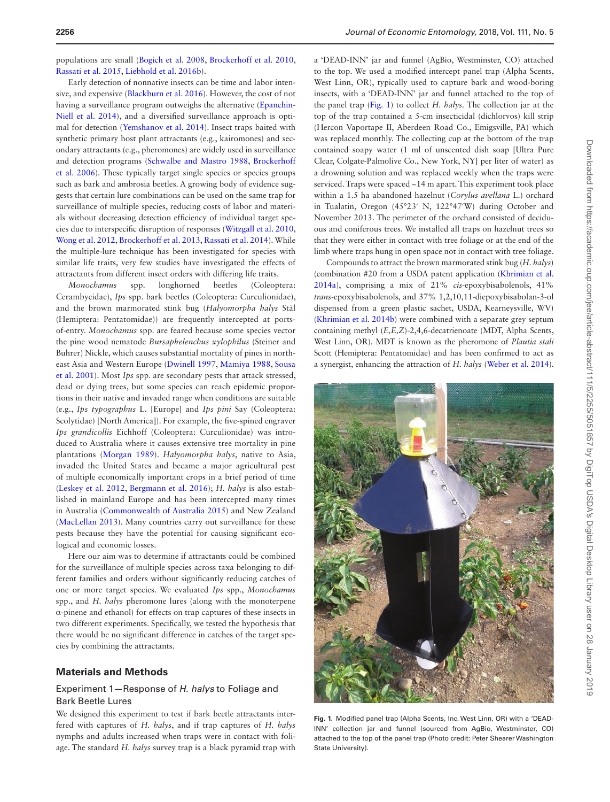populations are small ([Bogich et al. 2008,](#page-7-8) [Brockerhoff et al. 2010,](#page-7-9) [Rassati et al. 2015](#page-8-0), [Liebhold et al. 2016b](#page-8-1)).

Early detection of nonnative insects can be time and labor intensive, and expensive [\(Blackburn et al. 2016](#page-7-10)). However, the cost of not having a surveillance program outweighs the alternative ([Epanchin-](#page-7-11)[Niell et al. 2014\)](#page-7-11), and a diversified surveillance approach is optimal for detection ([Yemshanov et al. 2014](#page-8-2)). Insect traps baited with synthetic primary host plant attractants (e.g., kairomones) and secondary attractants (e.g., pheromones) are widely used in surveillance and detection programs [\(Schwalbe and Mastro 1988](#page-8-3), [Brockerhoff](#page-7-12)  [et al. 2006\)](#page-7-12). These typically target single species or species groups such as bark and ambrosia beetles. A growing body of evidence suggests that certain lure combinations can be used on the same trap for surveillance of multiple species, reducing costs of labor and materials without decreasing detection efficiency of individual target species due to interspecific disruption of responses ([Witzgall et al. 2010,](#page-8-4) [Wong et al. 2012,](#page-8-5) [Brockerhoff et al. 2013,](#page-7-13) [Rassati et al. 2014](#page-8-6)). While the multiple-lure technique has been investigated for species with similar life traits, very few studies have investigated the effects of attractants from different insect orders with differing life traits.

*Monochamus* spp. longhorned beetles (Coleoptera: Cerambycidae), *Ips* spp. bark beetles (Coleoptera: Curculionidae), and the brown marmorated stink bug (*Halyomorpha halys* Stål (Hemiptera: Pentatomidae)) are frequently intercepted at portsof-entry. *Monochamus* spp. are feared because some species vector the pine wood nematode *Bursaphelenchus xylophilus* (Steiner and Buhrer) Nickle, which causes substantial mortality of pines in northeast Asia and Western Europe [\(Dwinell 1997,](#page-7-14) [Mamiya 1988](#page-8-7), [Sousa](#page-8-8)  [et al. 2001\)](#page-8-8). Most *Ips* spp. are secondary pests that attack stressed, dead or dying trees, but some species can reach epidemic proportions in their native and invaded range when conditions are suitable (e.g., *Ips typographus* L. [Europe] and *Ips pini* Say (Coleoptera: Scolytidae) [North America]). For example, the five-spined engraver *Ips grandicollis* Eichhoff (Coleoptera: Curculionidae) was introduced to Australia where it causes extensive tree mortality in pine plantations [\(Morgan 1989\)](#page-8-9). *Halyomorpha halys*, native to Asia, invaded the United States and became a major agricultural pest of multiple economically important crops in a brief period of time [\(Leskey et al. 2012,](#page-7-15) [Bergmann et al. 2016\)](#page-7-16); *H. halys* is also established in mainland Europe and has been intercepted many times in Australia ([Commonwealth of Australia 2015](#page-7-17)) and New Zealand [\(MacLellan 2013](#page-8-10)). Many countries carry out surveillance for these pests because they have the potential for causing significant ecological and economic losses.

Here our aim was to determine if attractants could be combined for the surveillance of multiple species across taxa belonging to different families and orders without significantly reducing catches of one or more target species. We evaluated *Ips* spp., *Monochamus* spp., and *H. halys* pheromone lures (along with the monoterpene α-pinene and ethanol) for effects on trap captures of these insects in two different experiments. Specifically, we tested the hypothesis that there would be no significant difference in catches of the target species by combining the attractants.

## **Materials and Methods**

# <span id="page-1-0"></span>Experiment 1—Response of *H. halys* to Foliage and Bark Beetle Lures

We designed this experiment to test if bark beetle attractants interfered with captures of *H. halys*, and if trap captures of *H. halys* nymphs and adults increased when traps were in contact with foliage. The standard *H. halys* survey trap is a black pyramid trap with

a 'DEAD-INN' jar and funnel (AgBio, Westminster, CO) attached to the top. We used a modified intercept panel trap (Alpha Scents, West Linn, OR), typically used to capture bark and wood-boring insects, with a 'DEAD-INN' jar and funnel attached to the top of the panel trap [\(Fig. 1](#page-1-0)) to collect *H. halys.* The collection jar at the top of the trap contained a 5-cm insecticidal (dichlorvos) kill strip (Hercon Vaportape II, Aberdeen Road Co., Emigsville, PA) which was replaced monthly. The collecting cup at the bottom of the trap contained soapy water (1 ml of unscented dish soap [Ultra Pure Clear, Colgate-Palmolive Co., New York, NY] per liter of water) as a drowning solution and was replaced weekly when the traps were serviced. Traps were spaced ~14 m apart. This experiment took place within a 1.5 ha abandoned hazelnut (*Corylus avellana* L.) orchard in Tualatin, Oregon (45°23′ N, 122°47′W) during October and November 2013. The perimeter of the orchard consisted of deciduous and coniferous trees. We installed all traps on hazelnut trees so that they were either in contact with tree foliage or at the end of the limb where traps hung in open space not in contact with tree foliage.

Compounds to attract the brown marmorated stink bug (*H. halys*) (combination #20 from a USDA patent application ([Khrimian et al.](#page-7-18)  [2014a](#page-7-18)), comprising a mix of 21% *cis*-epoxybisabolenols, 41% *trans*-epoxybisabolenols, and 37% 1,2,10,11-diepoxybisabolan-3-ol dispensed from a green plastic sachet, USDA, Kearneysville, WV) [\(Khrimian et al. 2014b](#page-7-19)) were combined with a separate grey septum containing methyl (*E,E,Z*)-2,4,6-decatrienoate (MDT, Alpha Scents, West Linn, OR). MDT is known as the pheromone of *Plautia stali* Scott (Hemiptera: Pentatomidae) and has been confirmed to act as a synergist, enhancing the attraction of *H. halys* [\(Weber et al. 2014](#page-8-11)).



**Fig. 1.** Modified panel trap (Alpha Scents, Inc. West Linn, OR) with a 'DEAD-INN' collection jar and funnel (sourced from AgBio, Westminster, CO) attached to the top of the panel trap (Photo credit: Peter Shearer Washington State University).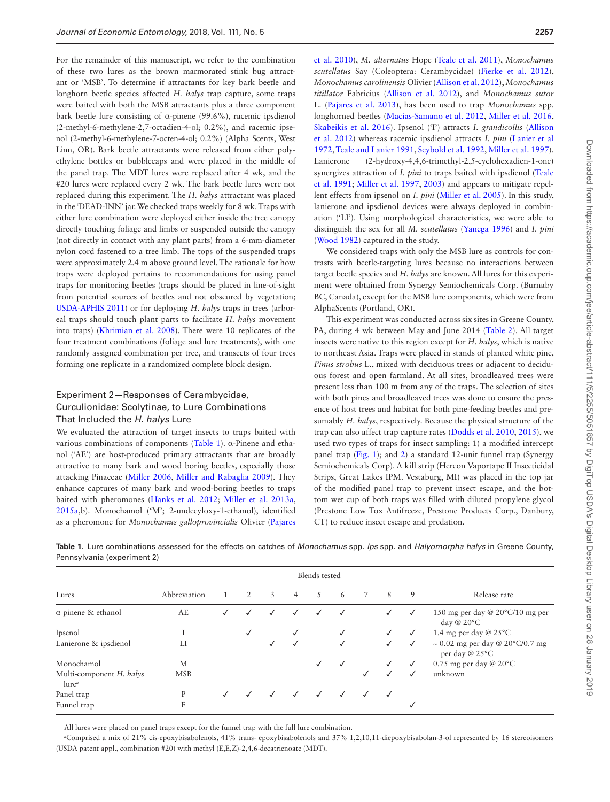For the remainder of this manuscript, we refer to the combination of these two lures as the brown marmorated stink bug attractant or 'MSB'. To determine if attractants for key bark beetle and longhorn beetle species affected *H. halys* trap capture, some traps were baited with both the MSB attractants plus a three component bark beetle lure consisting of α-pinene (99.6%), racemic ipsdienol (2-methyl-6-methylene-2,7-octadien-4-ol; 0.2%), and racemic ipsenol (2-methyl-6-methylene-7-octen-4-ol; 0.2%) (Alpha Scents, West Linn, OR). Bark beetle attractants were released from either polyethylene bottles or bubblecaps and were placed in the middle of the panel trap. The MDT lures were replaced after 4 wk, and the #20 lures were replaced every 2 wk. The bark beetle lures were not replaced during this experiment. The *H. halys* attractant was placed in the 'DEAD-INN' jar. We checked traps weekly for 8 wk. Traps with either lure combination were deployed either inside the tree canopy directly touching foliage and limbs or suspended outside the canopy (not directly in contact with any plant parts) from a 6-mm-diameter nylon cord fastened to a tree limb. The tops of the suspended traps were approximately 2.4 m above ground level. The rationale for how traps were deployed pertains to recommendations for using panel traps for monitoring beetles (traps should be placed in line-of-sight from potential sources of beetles and not obscured by vegetation; [USDA-APHIS 2011\)](#page-8-12) or for deploying *H. halys* traps in trees (arboreal traps should touch plant parts to facilitate *H. halys* movement into traps) [\(Khrimian et al. 2008\)](#page-7-20). There were 10 replicates of the four treatment combinations (foliage and lure treatments), with one randomly assigned combination per tree, and transects of four trees forming one replicate in a randomized complete block design.

# Experiment 2—Responses of Cerambycidae, Curculionidae: Scolytinae, to Lure Combinations That Included the *H. halys* Lure

We evaluated the attraction of target insects to traps baited with various combinations of components [\(Table 1](#page-2-0)). α-Pinene and ethanol ('AE') are host-produced primary attractants that are broadly attractive to many bark and wood boring beetles, especially those attacking Pinaceae [\(Miller 2006](#page-8-13), [Miller and Rabaglia 2009\)](#page-8-14). They enhance captures of many bark and wood-boring beetles to traps baited with pheromones [\(Hanks et al. 2012;](#page-7-21) [Miller et al. 2013a,](#page-8-15) [2015a](#page-8-16),b). Monochamol ('M'; 2-undecyloxy-1-ethanol), identified as a pheromone for *Monochamus galloprovincialis* Olivier [\(Pajares](#page-8-17) 

[et al. 2010\)](#page-8-17), *M. alternatus* Hope [\(Teale et al. 2011](#page-8-18)), *Monochamus scutellatus* Say (Coleoptera: Cerambycidae) ([Fierke et al. 2012](#page-7-22)), *Monochamus carolinensis* Olivier ([Allison et al. 2012](#page-6-0)), *Monochamus titillator* Fabricius [\(Allison et al. 2012](#page-6-0)), and *Monochamus sutor* L. ([Pajares et al. 2013\)](#page-8-19), has been used to trap *Monochamus* spp. longhorned beetles [\(Macias-Samano et al. 2012,](#page-8-20) [Miller et al. 2016,](#page-8-21) [Skabeikis et al. 2016](#page-8-22)). Ipsenol ('I') attracts *I. grandicollis* [\(Allison](#page-6-0)  [et al. 2012\)](#page-6-0) whereas racemic ipsdienol attracts *I. pini* [\(Lanier et al](#page-7-23)  [1972](#page-7-23), [Teale and Lanier 1991](#page-8-23), [Seybold et al. 1992](#page-8-24), [Miller et al. 1997](#page-8-25)). Lanierone (2-hydroxy-4,4,6-trimethyl-2,5-cyclohexadien-1-one) synergizes attraction of *I. pini* to traps baited with ipsdienol ([Teale](#page-8-26)  [et al. 1991;](#page-8-26) [Miller et al. 1997](#page-8-25), [2003](#page-8-27)) and appears to mitigate repellent effects from ipsenol on *I. pini* [\(Miller et al. 2005\)](#page-8-28). In this study, lanierone and ipsdienol devices were always deployed in combination ('LI'). Using morphological characteristics, we were able to distinguish the sex for all *M. scutellatus* [\(Yanega 1996](#page-8-29)) and *I. pini* [\(Wood 1982\)](#page-8-30) captured in the study.

We considered traps with only the MSB lure as controls for contrasts with beetle-targeting lures because no interactions between target beetle species and *H. halys* are known. All lures for this experiment were obtained from Synergy Semiochemicals Corp. (Burnaby BC, Canada), except for the MSB lure components, which were from AlphaScents (Portland, OR).

This experiment was conducted across six sites in Greene County, PA, during 4 wk between May and June 2014 [\(Table 2\)](#page-3-0). All target insects were native to this region except for *H. halys*, which is native to northeast Asia. Traps were placed in stands of planted white pine, *Pinus strobus* L., mixed with deciduous trees or adjacent to deciduous forest and open farmland. At all sites, broadleaved trees were present less than 100 m from any of the traps. The selection of sites with both pines and broadleaved trees was done to ensure the presence of host trees and habitat for both pine-feeding beetles and presumably *H. halys*, respectively. Because the physical structure of the trap can also affect trap capture rates ([Dodds et al. 2010](#page-7-24), [2015](#page-7-25)), we used two types of traps for insect sampling: 1) a modified intercept panel trap ([Fig. 1\)](#page-1-0); and [2\)](#page-4-0) a standard 12-unit funnel trap (Synergy Semiochemicals Corp). A kill strip (Hercon Vaportape II Insecticidal Strips, Great Lakes IPM. Vestaburg, MI) was placed in the top jar of the modified panel trap to prevent insect escape, and the bottom wet cup of both traps was filled with diluted propylene glycol (Prestone Low Tox Antifreeze, Prestone Products Corp., Danbury, CT) to reduce insect escape and predation.

| Blends tested                                 |              |              |   |   |                |              |              |              |              |              |                                                        |
|-----------------------------------------------|--------------|--------------|---|---|----------------|--------------|--------------|--------------|--------------|--------------|--------------------------------------------------------|
| Lures                                         | Abbreviation |              | 2 | 3 | $\overline{4}$ | .5           | 6            |              | 8            | 9            | Release rate                                           |
| $\alpha$ -pinene & ethanol                    | AE           | $\checkmark$ | ✓ | ✓ | ✓              | $\checkmark$ | √            |              | √            | ✓            | 150 mg per day @ 20°C/10 mg per<br>day @ 20°C          |
| Ipsenol                                       |              |              |   |   |                |              | $\checkmark$ |              | $\checkmark$ | $\checkmark$ | 1.4 mg per day @ $25^{\circ}$ C                        |
| Lanierone & ipsdienol                         | LI           |              |   |   | ✓              |              | $\checkmark$ |              | √            | $\checkmark$ | $\sim 0.02$ mg per day @ 20°C/0.7 mg<br>per day @ 25°C |
| Monochamol                                    | М            |              |   |   |                |              | $\checkmark$ |              | ✓            | $\checkmark$ | 0.75 mg per day @ 20°C                                 |
| Multi-component H. halys<br>lure <sup>a</sup> | <b>MSB</b>   |              |   |   |                |              |              |              |              | $\checkmark$ | unknown                                                |
| Panel trap                                    | P            | $\checkmark$ |   |   |                |              | $\checkmark$ | $\checkmark$ | $\checkmark$ |              |                                                        |
| Funnel trap                                   | F            |              |   |   |                |              |              |              |              | $\checkmark$ |                                                        |

<span id="page-2-0"></span>**Table 1.** Lure combinations assessed for the effects on catches of *Monochamus* spp. *Ips* spp. and *Halyomorpha halys* in Greene County, Pennsylvania (experiment 2)

All lures were placed on panel traps except for the funnel trap with the full lure combination.

*a* Comprised a mix of 21% cis-epoxybisabolenols, 41% trans- epoxybisabolenols and 37% 1,2,10,11-diepoxybisabolan-3-ol represented by 16 stereoisomers (USDA patent appl., combination #20) with methyl (E,E,Z)-2,4,6-decatrienoate (MDT).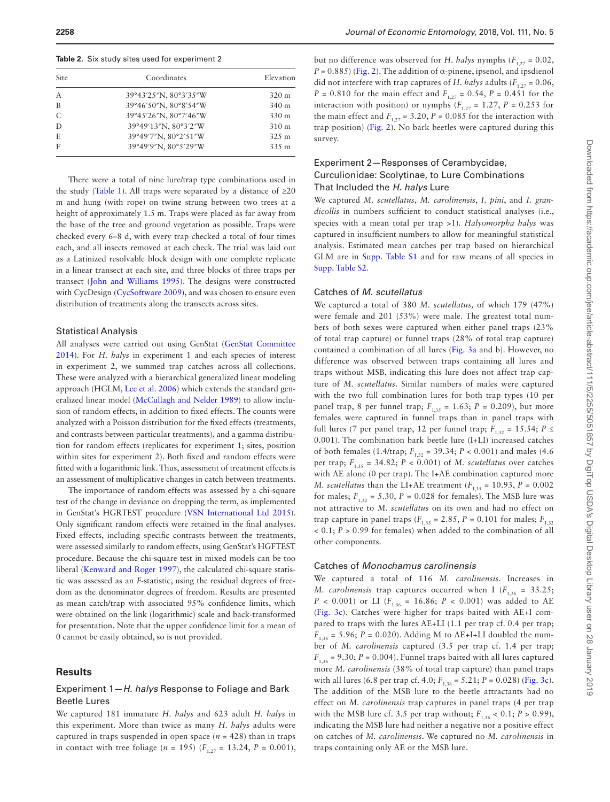<span id="page-3-0"></span>**Table 2.** Six study sites used for experiment 2

| <b>Site</b>    | Coordinates           | Elevation       |  |
|----------------|-----------------------|-----------------|--|
| $\overline{A}$ | 39°43'25"N, 80°3'35"W | $320 \text{ m}$ |  |
| B              | 39°46'50"N, 80°8'54"W | 340 m           |  |
| C              | 39°45'26"N, 80°7'46"W | 330 m           |  |
| D              | 39°49'13"N, 80°3'2"W  | 310 m           |  |
| E              | 39°49′7″N, 80°2′51″W  | 325 m           |  |
| F              | 39°49'9"N, 80°5'29"W  | 335 m           |  |

There were a total of nine lure/trap type combinations used in the study ([Table 1](#page-2-0)). All traps were separated by a distance of  $\geq 20$ m and hung (with rope) on twine strung between two trees at a height of approximately 1.5 m. Traps were placed as far away from the base of the tree and ground vegetation as possible. Traps were checked every 6–8 d, with every trap checked a total of four times each, and all insects removed at each check. The trial was laid out as a Latinized resolvable block design with one complete replicate in a linear transect at each site, and three blocks of three traps per transect ([John and Williams 1995\)](#page-7-26). The designs were constructed with CycDesign ([CycSoftware 2009](#page-7-27)), and was chosen to ensure even distribution of treatments along the transects across sites.

#### Statistical Analysis

All analyses were carried out using GenStat [\(GenStat Committee](#page-7-28)  [2014](#page-7-28)). For *H. halys* in experiment 1 and each species of interest in experiment 2, we summed trap catches across all collections. These were analyzed with a hierarchical generalized linear modeling approach (HGLM, [Lee et al. 2006](#page-7-29)) which extends the standard generalized linear model [\(McCullagh and Nelder 1989\)](#page-8-31) to allow inclusion of random effects, in addition to fixed effects. The counts were analyzed with a Poisson distribution for the fixed effects (treatments, and contrasts between particular treatments), and a gamma distribution for random effects (replicates for experiment 1; sites, position within sites for experiment 2). Both fixed and random effects were fitted with a logarithmic link. Thus, assessment of treatment effects is an assessment of multiplicative changes in catch between treatments.

The importance of random effects was assessed by a chi-square test of the change in deviance on dropping the term, as implemented in GenStat's HGRTEST procedure ([VSN International Ltd 2015](#page-8-32)). Only significant random effects were retained in the final analyses. Fixed effects, including specific contrasts between the treatments, were assessed similarly to random effects, using GenStat's HGFTEST procedure. Because the chi-square test in mixed models can be too liberal ([Kenward and Roger 1997](#page-7-30)), the calculated chi-square statistic was assessed as an *F*-statistic, using the residual degrees of freedom as the denominator degrees of freedom. Results are presented as mean catch/trap with associated 95% confidence limits, which were obtained on the link (logarithmic) scale and back-transformed for presentation. Note that the upper confidence limit for a mean of 0 cannot be easily obtained, so is not provided.

#### **Results**

## Experiment 1—*H. halys* Response to Foliage and Bark Beetle Lures

We captured 181 immature *H. halys* and 623 adult *H. halys* in this experiment. More than twice as many *H. halys* adults were captured in traps suspended in open space  $(n = 428)$  than in traps in contact with tree foliage (*n* = 195) ( $F_{1,27}$  = 13.24, *P* = 0.001),

but no difference was observed for *H. halys* nymphs  $(F_{1,27} = 0.02,$  $P = 0.885$ ) ([Fig. 2](#page-4-0)). The addition of  $\alpha$ -pinene, ipsenol, and ipsdienol did not interfere with trap captures of *H. halys* adults  $(F_{1,27} = 0.06,$ *P* = 0.810 for the main effect and  $F_{1,27}$  = 0.54, *P* = 0.451 for the interaction with position) or nymphs  $(F_{1,27} = 1.27, P = 0.253$  for the main effect and  $F_{1,27} = 3.20$ ,  $P = 0.085$  for the interaction with trap position) ([Fig. 2\)](#page-4-0). No bark beetles were captured during this survey.

# Experiment 2—Responses of Cerambycidae, Curculionidae: Scolytinae, to Lure Combinations That Included the *H. halys* Lure

We captured *M. scutellatus*, *M. carolinensis*, *I. pini*, and *I. grandicollis* in numbers sufficient to conduct statistical analyses (i.e., species with a mean total per trap >1)*. Halyomorpha halys* was captured in insufficient numbers to allow for meaningful statistical analysis. Estimated mean catches per trap based on hierarchical GLM are in Supp. Table S1 and for raw means of all species in [Supp. Table S2.](http://academic.oup.com/jee/article-lookup/doi/10.1093/jee/toy190#supplementary-data)

## Catches of *M. scutellatus*

We captured a total of 380 *M. scutellatus,* of which 179 (47%) were female and 201 (53%) were male. The greatest total numbers of both sexes were captured when either panel traps (23% of total trap capture) or funnel traps (28% of total trap capture) contained a combination of all lures ([Fig. 3a](#page-4-1) and b). However, no difference was observed between traps containing all lures and traps without MSB, indicating this lure does not affect trap capture of *M. scutellatus*. Similar numbers of males were captured with the two full combination lures for both trap types (10 per panel trap, 8 per funnel trap;  $F_{1,35} = 1.63$ ;  $P = 0.209$ ), but more females were captured in funnel traps than in panel traps with full lures (7 per panel trap, 12 per funnel trap;  $F_{1,32} = 15.54$ ;  $P \le$ 0.001). The combination bark beetle lure (I+LI) increased catches of both females (1.4/trap;  $F_{1,32} = 39.34$ ;  $P < 0.001$ ) and males (4.6) per trap;  $F_{1,35} = 34.82$ ;  $P < 0.001$ ) of *M. scutellatus* over catches with AE alone (0 per trap). The I+AE combination captured more *M. scutellatus* than the LI+AE treatment ( $F_{1,35} = 10.93$ ,  $P = 0.002$ ) for males;  $F_{1,32} = 5.30$ ,  $P = 0.028$  for females). The MSB lure was not attractive to *M. scutellatus* on its own and had no effect on trap capture in panel traps ( $F_{1,35} = 2.85$ ,  $P = 0.101$  for males;  $F_{1,32}$ < 0.1; *P* > 0.99 for females) when added to the combination of all other components.

#### Catches of *Monochamus carolinensis*

We captured a total of 116 *M. carolinensis*. Increases in *M. carolinensis* trap captures occurred when I  $(F_{1,36} = 33.25)$ ; *P* < 0.001) or LI ( $F_{1.36}$  = 16.86; *P* < 0.001) was added to AE [\(Fig. 3c\)](#page-4-1). Catches were higher for traps baited with AE+I compared to traps with the lures AE+LI (1.1 per trap cf. 0.4 per trap;  $F_{1,36}$  = 5.96; *P* = 0.020). Adding M to AE+I+LI doubled the number of *M. carolinensis* captured (3.5 per trap cf. 1.4 per trap;  $F_{1,36}$  = 9.30; *P* = 0.004). Funnel traps baited with all lures captured more *M. carolinensis* (38% of total trap capture) than panel traps with all lures (6.8 per trap cf. 4.0;  $F_{1,36} = 5.21$ ;  $P = 0.028$ ) [\(Fig. 3c\)](#page-4-1). The addition of the MSB lure to the beetle attractants had no effect on *M. carolinensis* trap captures in panel traps (4 per trap with the MSB lure cf. 3.5 per trap without;  $F_{1,36}$  < 0.1;  $P > 0.99$ ), indicating the MSB lure had neither a negative nor a positive effect on catches of *M. carolinensis*. We captured no *M. carolinensis* in traps containing only AE or the MSB lure.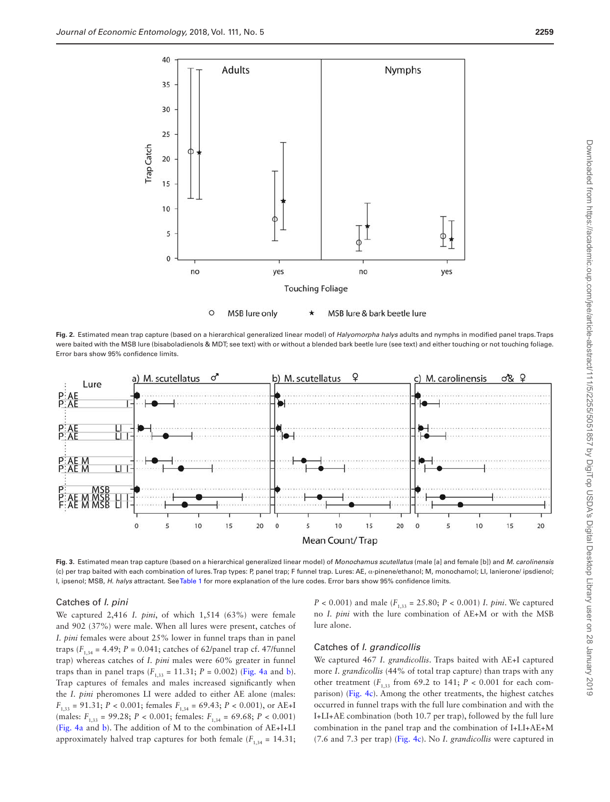

<span id="page-4-0"></span>**Fig. 2.** Estimated mean trap capture (based on a hierarchical generalized linear model) of *Halyomorpha halys* adults and nymphs in modified panel traps. Traps were baited with the MSB lure (bisaboladienols & MDT; see text) with or without a blended bark beetle lure (see text) and either touching or not touching foliage. Error bars show 95% confidence limits.



<span id="page-4-1"></span>**Fig. 3.** Estimated mean trap capture (based on a hierarchical generalized linear model) of *Monochamus scutellatus* (male [a] and female [b]) and *M. carolinensis* (c) per trap baited with each combination of lures. Trap types: P, panel trap; F funnel trap. Lures: AE, α-pinene/ethanol; M, monochamol; LI, lanierone/ ipsdienol; I, ipsenol; MSB, *H. halys* attractant. See [Table 1](#page-2-0) for more explanation of the lure codes. Error bars show 95% confidence limits.

## Catches of *I. pini*

We captured 2,416 *I. pini*, of which 1,514 (63%) were female and 902 (37%) were male. When all lures were present, catches of *I. pini* females were about 25% lower in funnel traps than in panel traps ( $F_{1,34}$  = 4.49;  $P = 0.041$ ; catches of 62/panel trap cf. 47/funnel trap) whereas catches of *I. pini* males were 60% greater in funnel traps than in panel traps  $(F_{1,33} = 11.31; P = 0.002)$  [\(Fig. 4a](#page-5-0) and [b](#page-5-0)). Trap captures of females and males increased significantly when the *I. pini* pheromones LI were added to either AE alone (males:  $F_{1,33} = 91.31; P < 0.001;$  females  $F_{1,34} = 69.43; P < 0.001$ , or AE+I (males:  $F_{1,33}$  = 99.28;  $P < 0.001$ ; females:  $F_{1,34}$  = 69.68;  $P < 0.001$ ) [\(Fig. 4a](#page-5-0) and [b](#page-5-0)). The addition of M to the combination of AE+I+LI approximately halved trap captures for both female  $(F_{1,34} = 14.31;$ 

*P* < 0.001) and male ( $F_{1,33}$  = 25.80; *P* < 0.001) *I. pini*. We captured no *I. pini* with the lure combination of AE+M or with the MSB lure alone.

## Catches of *I. grandicollis*

We captured 467 *I. grandicollis*. Traps baited with AE+I captured more *I. grandicollis* (44% of total trap capture) than traps with any other treatment ( $F_{1,33}$  from 69.2 to 141;  $P < 0.001$  for each comparison) ([Fig. 4c](#page-5-0)). Among the other treatments, the highest catches occurred in funnel traps with the full lure combination and with the I+LI+AE combination (both 10.7 per trap), followed by the full lure combination in the panel trap and the combination of I+LI+AE+M (7.6 and 7.3 per trap) ([Fig. 4c](#page-5-0)). No *I. grandicollis* were captured in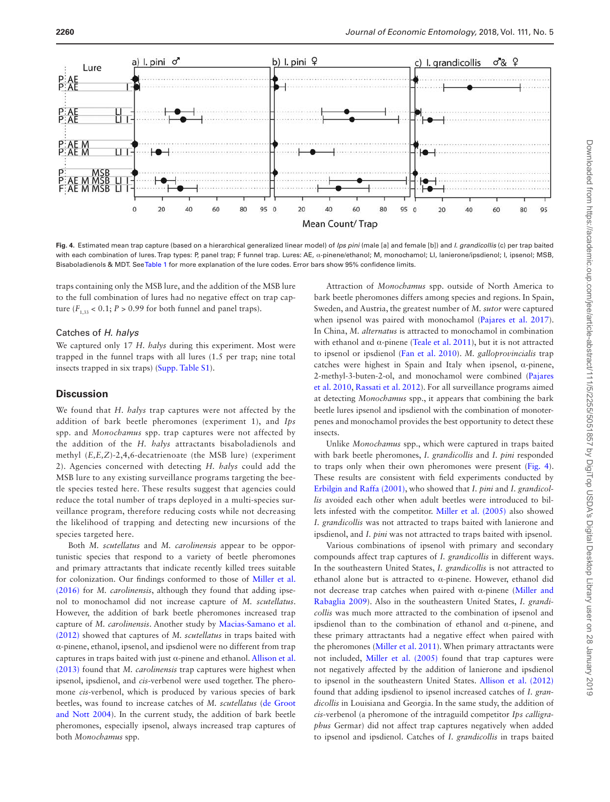

<span id="page-5-0"></span>**Fig. 4.** Estimated mean trap capture (based on a hierarchical generalized linear model) of *Ips pini* (male [a] and female [b]) and *I. grandicollis* (c) per trap baited with each combination of lures. Trap types: P, panel trap; F funnel trap. Lures: AE, α-pinene/ethanol; M, monochamol; LI, lanierone/ipsdienol; I, ipsenol; MSB, Bisaboladienols & MDT. See [Table 1](#page-2-0) for more explanation of the lure codes. Error bars show 95% confidence limits.

traps containing only the MSB lure, and the addition of the MSB lure to the full combination of lures had no negative effect on trap capture  $(F_{1,33} < 0.1; P > 0.99$  for both funnel and panel traps).

## Catches of *H. halys*

We captured only 17 *H. halys* during this experiment. Most were trapped in the funnel traps with all lures (1.5 per trap; nine total insects trapped in six traps) [\(Supp. Table S1\)](http://academic.oup.com/jee/article-lookup/doi/10.1093/jee/toy190#supplementary-data).

# **Discussion**

We found that *H. halys* trap captures were not affected by the addition of bark beetle pheromones (experiment 1), and *Ips* spp. and *Monochamus* spp. trap captures were not affected by the addition of the *H. halys* attractants bisaboladienols and methyl (*E,E,Z*)-2,4,6-decatrienoate (the MSB lure) (experiment 2). Agencies concerned with detecting *H. halys* could add the MSB lure to any existing surveillance programs targeting the beetle species tested here. These results suggest that agencies could reduce the total number of traps deployed in a multi-species surveillance program, therefore reducing costs while not decreasing the likelihood of trapping and detecting new incursions of the species targeted here.

Both *M. scutellatus* and *M. carolinensis* appear to be opportunistic species that respond to a variety of beetle pheromones and primary attractants that indicate recently killed trees suitable for colonization. Our findings conformed to those of [Miller et al.](#page-8-21)  [\(2016\)](#page-8-21) for *M. carolinensis*, although they found that adding ipsenol to monochamol did not increase capture of *M. scutellatus*. However, the addition of bark beetle pheromones increased trap capture of *M. carolinensis*. Another study by [Macias-Samano et al.](#page-8-20)  [\(2012\)](#page-8-20) showed that captures of *M. scutellatus* in traps baited with α-pinene, ethanol, ipsenol, and ipsdienol were no different from trap captures in traps baited with just α-pinene and ethanol. [Allison et al.](#page-6-1)  [\(2013\)](#page-6-1) found that *M. carolinensis* trap captures were highest when ipsenol, ipsdienol, and *cis-*verbenol were used together. The pheromone *cis*-verbenol, which is produced by various species of bark beetles, was found to increase catches of *M. scutellatus* ([de Groot](#page-7-31)  [and Nott 2004\)](#page-7-31). In the current study, the addition of bark beetle pheromones, especially ipsenol, always increased trap captures of both *Monochamus* spp.

Attraction of *Monochamus* spp. outside of North America to bark beetle pheromones differs among species and regions. In Spain, Sweden, and Austria, the greatest number of *M. sutor* were captured when ipsenol was paired with monochamol [\(Pajares et al. 2017](#page-8-33)). In China, *M. alternatus* is attracted to monochamol in combination with ethanol and  $\alpha$ -pinene [\(Teale et al. 2011](#page-8-18)), but it is not attracted to ipsenol or ipsdienol ([Fan et al. 2010](#page-7-32)). *M. galloprovincialis* trap catches were highest in Spain and Italy when ipsenol, α-pinene, 2-methyl-3-buten-2-ol, and monochamol were combined [\(Pajares](#page-8-17)  [et al. 2010](#page-8-17), [Rassati et al. 2012\)](#page-8-34). For all surveillance programs aimed at detecting *Monochamus* spp., it appears that combining the bark beetle lures ipsenol and ipsdienol with the combination of monoterpenes and monochamol provides the best opportunity to detect these insects.

Unlike *Monochamus* spp., which were captured in traps baited with bark beetle pheromones, *I. grandicollis* and *I. pini* responded to traps only when their own pheromones were present [\(Fig. 4](#page-5-0)). These results are consistent with field experiments conducted by [Erbilgin and Raffa \(2001\)](#page-7-33), who showed that *I. pini* and *I. grandicollis* avoided each other when adult beetles were introduced to billets infested with the competitor. [Miller et al. \(2005\)](#page-8-28) also showed *I. grandicollis* was not attracted to traps baited with lanierone and ipsdienol, and *I. pini* was not attracted to traps baited with ipsenol.

Various combinations of ipsenol with primary and secondary compounds affect trap captures of *I. grandicollis* in different ways. In the southeastern United States, *I. grandicollis* is not attracted to ethanol alone but is attracted to α-pinene. However, ethanol did not decrease trap catches when paired with α-pinene ([Miller and](#page-8-14)  [Rabaglia 2009](#page-8-14)). Also in the southeastern United States, *I. grandicollis* was much more attracted to the combination of ipsenol and ipsdienol than to the combination of ethanol and α-pinene, and these primary attractants had a negative effect when paired with the pheromones [\(Miller et al. 2011](#page-8-35)). When primary attractants were not included, [Miller et al. \(2005\)](#page-8-28) found that trap captures were not negatively affected by the addition of lanierone and ipsdienol to ipsenol in the southeastern United States. [Allison et al. \(2012\)](#page-6-0) found that adding ipsdienol to ipsenol increased catches of *I. grandicollis* in Louisiana and Georgia. In the same study, the addition of *cis*-verbenol (a pheromone of the intraguild competitor *Ips calligraphus* Germar) did not affect trap captures negatively when added to ipsenol and ipsdienol. Catches of *I. grandicollis* in traps baited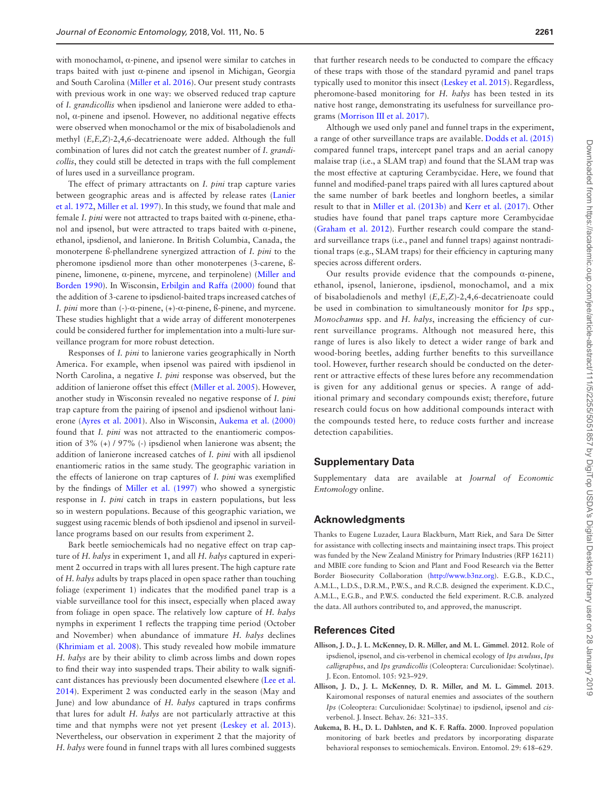with monochamol, α-pinene, and ipsenol were similar to catches in traps baited with just α-pinene and ipsenol in Michigan, Georgia and South Carolina ([Miller et al. 2016\)](#page-8-21). Our present study contrasts with previous work in one way: we observed reduced trap capture of *I. grandicollis* when ipsdienol and lanierone were added to ethanol, α-pinene and ipsenol. However, no additional negative effects were observed when monochamol or the mix of bisaboladienols and methyl (*E,E,Z*)-2,4,6-decatrienoate were added. Although the full combination of lures did not catch the greatest number of *I. grandicollis*, they could still be detected in traps with the full complement of lures used in a surveillance program.

The effect of primary attractants on *I. pini* trap capture varies between geographic areas and is affected by release rates [\(Lanier](#page-7-23)  [et al. 1972,](#page-7-23) [Miller et al. 1997\)](#page-8-25). In this study, we found that male and female *I. pini* were not attracted to traps baited with α-pinene, ethanol and ipsenol, but were attracted to traps baited with α-pinene, ethanol, ipsdienol, and lanierone. In British Columbia, Canada, the monoterpene ß-phellandrene synergized attraction of *I. pini* to the pheromone ipsdienol more than other monoterpenes (3-carene, ßpinene, limonene, α-pinene, myrcene, and terpinolene) [\(Miller and](#page-8-36)  [Borden 1990](#page-8-36)). In Wisconsin, [Erbilgin and Raffa \(2000\)](#page-7-34) found that the addition of 3-carene to ipsdienol-baited traps increased catches of *I. pini* more than (-)-α-pinene, (+)-α-pinene, ß-pinene, and myrcene. These studies highlight that a wide array of different monoterpenes could be considered further for implementation into a multi-lure surveillance program for more robust detection.

Responses of *I. pini* to lanierone varies geographically in North America. For example, when ipsenol was paired with ipsdienol in North Carolina, a negative *I. pini* response was observed, but the addition of lanierone offset this effect ([Miller et al. 2005](#page-8-28)). However, another study in Wisconsin revealed no negative response of *I. pini* trap capture from the pairing of ipsenol and ipsdienol without lanierone [\(Ayres et al. 2001\)](#page-7-35). Also in Wisconsin, [Aukema et al. \(2000\)](#page-6-2) found that *I. pini* was not attracted to the enantiomeric composition of 3% (+) / 97% (-) ipsdienol when lanierone was absent; the addition of lanierone increased catches of *I. pini* with all ipsdienol enantiomeric ratios in the same study. The geographic variation in the effects of lanierone on trap captures of *I. pini* was exemplified by the findings of [Miller et al. \(1997\)](#page-8-25) who showed a synergistic response in *I. pini* catch in traps in eastern populations, but less so in western populations. Because of this geographic variation, we suggest using racemic blends of both ipsdienol and ipsenol in surveillance programs based on our results from experiment 2.

Bark beetle semiochemicals had no negative effect on trap capture of *H. halys* in experiment 1, and all *H. halys* captured in experiment 2 occurred in traps with all lures present. The high capture rate of *H. halys* adults by traps placed in open space rather than touching foliage (experiment 1) indicates that the modified panel trap is a viable surveillance tool for this insect, especially when placed away from foliage in open space. The relatively low capture of *H. halys* nymphs in experiment 1 reflects the trapping time period (October and November) when abundance of immature *H. halys* declines [\(Khrimiam et al. 2008](#page-7-20)). This study revealed how mobile immature *H. halys* are by their ability to climb across limbs and down ropes to find their way into suspended traps. Their ability to walk significant distances has previously been documented elsewhere ([Lee et al.](#page-7-36)  [2014](#page-7-36)). Experiment 2 was conducted early in the season (May and June) and low abundance of *H. halys* captured in traps confirms that lures for adult *H. halys* are not particularly attractive at this time and that nymphs were not yet present ([Leskey et al. 2013](#page-7-37)). Nevertheless, our observation in experiment 2 that the majority of *H. halys* were found in funnel traps with all lures combined suggests

that further research needs to be conducted to compare the efficacy of these traps with those of the standard pyramid and panel traps typically used to monitor this insect [\(Leskey et al. 2015](#page-7-38)). Regardless, pheromone-based monitoring for *H. halys* has been tested in its native host range, demonstrating its usefulness for surveillance programs [\(Morrison III et al. 2017](#page-8-37)).

Although we used only panel and funnel traps in the experiment, a range of other surveillance traps are available. [Dodds et al. \(2015\)](#page-7-25) compared funnel traps, intercept panel traps and an aerial canopy malaise trap (i.e., a SLAM trap) and found that the SLAM trap was the most effective at capturing Cerambycidae. Here, we found that funnel and modified-panel traps paired with all lures captured about the same number of bark beetles and longhorn beetles, a similar result to that in [Miller et al. \(2013b\)](#page-8-38) and [Kerr et al. \(2017\).](#page-7-39) Other studies have found that panel traps capture more Cerambycidae [\(Graham et al. 2012](#page-7-40)). Further research could compare the standard surveillance traps (i.e., panel and funnel traps) against nontraditional traps (e.g., SLAM traps) for their efficiency in capturing many species across different orders.

Our results provide evidence that the compounds α-pinene, ethanol, ipsenol, lanierone, ipsdienol, monochamol, and a mix of bisaboladienols and methyl (*E,E,Z*)-2,4,6-decatrienoate could be used in combination to simultaneously monitor for *Ips* spp., *Monochamus* spp. and *H. halys*, increasing the efficiency of current surveillance programs. Although not measured here, this range of lures is also likely to detect a wider range of bark and wood-boring beetles, adding further benefits to this surveillance tool. However, further research should be conducted on the deterrent or attractive effects of these lures before any recommendation is given for any additional genus or species. A range of additional primary and secondary compounds exist; therefore, future research could focus on how additional compounds interact with the compounds tested here, to reduce costs further and increase detection capabilities.

## **Supplementary Data**

Supplementary data are available at *Journal of Economic Entomology* online.

#### **Acknowledgments**

Thanks to Eugene Luzader, Laura Blackburn, Matt Riek, and Sara De Sitter for assistance with collecting insects and maintaining insect traps. This project was funded by the New Zealand Ministry for Primary Industries (RFP 16211) and MBIE core funding to Scion and Plant and Food Research via the Better Border Biosecurity Collaboration ([http://www.b3nz.org\)](http://www.b3nz.org). E.G.B., K.D.C., A.M.L., L.D.S., D.R.M., P.W.S., and R.C.B. designed the experiment. K.D.C., A.M.L., E.G.B., and P.W.S. conducted the field experiment. R.C.B. analyzed the data. All authors contributed to, and approved, the manuscript.

#### **References Cited**

- <span id="page-6-0"></span>**Allison, J. D., J. L. McKenney, D. R. Miller, and M. L. Gimmel**. **2012**. Role of ipsdienol, ipsenol, and cis-verbenol in chemical ecology of *Ips avulsus*, *Ips calligraphus*, and *Ips grandicollis* (Coleoptera: Curculionidae: Scolytinae). J. Econ. Entomol. 105: 923–929.
- <span id="page-6-1"></span>**Allison, J. D., J. L. McKenney, D. R. Miller, and M. L. Gimmel. 2013**. Kairomonal responses of natural enemies and associates of the southern *Ips* (Coleoptera: Curculionidae: Scolytinae) to ipsdienol, ipsenol and *cis*verbenol. J. Insect. Behav. 26: 321–335.
- <span id="page-6-2"></span>**Aukema, B. H., D. L. Dahlsten, and K. F. Raffa. 2000**. Inproved population monitoring of bark beetles and predators by incorporating disparate behavioral responses to semiochemicals. Environ. Entomol. 29: 618–629.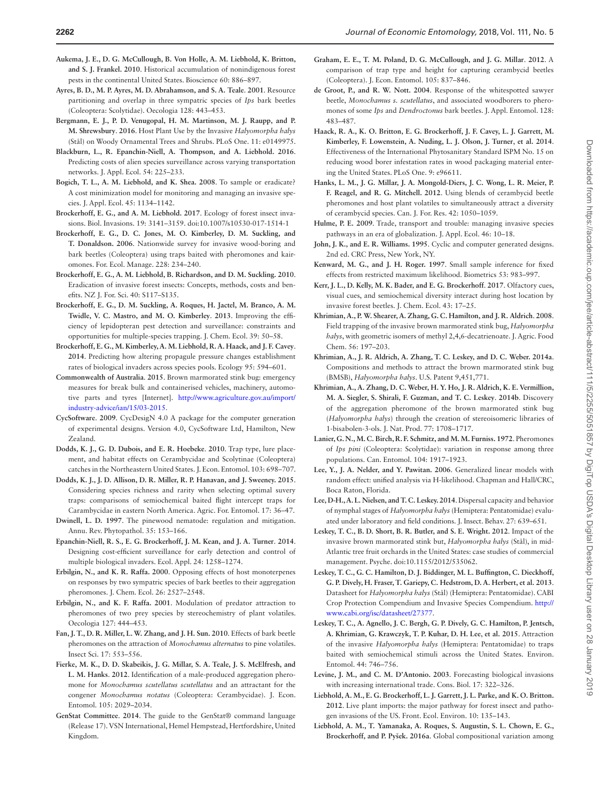- <span id="page-7-3"></span>**Aukema, J. E., D. G. McCullough, B. Von Holle, A. M. Liebhold, K. Britton, and S. J. Frankel. 2010**. Historical accumulation of nonindigenous forest pests in the continental United States. Bioscience 60: 886–897.
- <span id="page-7-35"></span>**Ayres, B. D., M. P. Ayres, M. D. Abrahamson, and S. A. Teale**. **2001**. Resource partitioning and overlap in three sympatric species of *Ips* bark beetles (Coleoptera: Scolytidae). Oecologia 128: 443–453.
- <span id="page-7-16"></span>**Bergmann, E. J., P. D. Venugopal, H. M. Martinson, M. J. Raupp, and P. M. Shrewsbury**. **2016**. Host Plant Use by the Invasive *Halyomorpha halys* (Stål) on Woody Ornamental Trees and Shrubs. PLoS One. 11: e0149975.
- <span id="page-7-10"></span>**Blackburn, L., R. Epanchin-Niell, A. Thompson, and A. Liebhold. 2016**. Predicting costs of alien species surveillance across varying transportation networks. J. Appl. Ecol. 54: 225–233.
- <span id="page-7-8"></span>**Bogich, T. L., A. M. Liebhold, and K. Shea. 2008**. To sample or eradicate? A cost minimization model for monitoring and managing an invasive species. J. Appl. Ecol. 45: 1134–1142.
- <span id="page-7-2"></span>**Brockerhoff, E. G., and A. M. Liebhold. 2017**. Ecology of forest insect invasions. Biol. Invasions. 19: 3141–3159. doi:10.1007/s10530-017-1514-1
- <span id="page-7-12"></span>**Brockerhoff, E. G., D. C. Jones, M. O. Kimberley, D. M. Suckling, and T. Donaldson. 2006**. Nationwide survey for invasive wood-boring and bark beetles (Coleoptera) using traps baited with pheromones and kairomones. For. Ecol. Manage. 228: 234–240.
- <span id="page-7-9"></span>**Brockerhoff, E. G., A. M. Liebhold, B. Richardson, and D. M. Suckling. 2010**. Eradication of invasive forest insects: Concepts, methods, costs and benefits. NZ J. For. Sci. 40: S117–S135.
- <span id="page-7-13"></span>**Brockerhoff, E. G., D. M. Suckling, A. Roques, H. Jactel, M. Branco, A. M. Twidle, V. C. Mastro, and M. O. Kimberley**. **2013**. Improving the efficiency of lepidopteran pest detection and surveillance: constraints and opportunities for multiple-species trapping. J. Chem. Ecol. 39: 50–58.
- <span id="page-7-4"></span>**Brockerhoff, E. G., M. Kimberley, A. M. Liebhold, R. A. Haack, and J. F. Cavey**. **2014**. Predicting how altering propagule pressure changes establishment rates of biological invaders across species pools. Ecology 95: 594–601.
- <span id="page-7-17"></span>**Commonwealth of Australia**. **2015**. Brown marmorated stink bug: emergency measures for break bulk and containerised vehicles, machinery, automotive parts and tyres [Internet]. [http://www.agriculture.gov.au/import/](http://www.agriculture.gov.au/import/industry-advice/ian/15/03-2015) [industry-advice/ian/15/03-2015.](http://www.agriculture.gov.au/import/industry-advice/ian/15/03-2015)
- <span id="page-7-27"></span>**CycSoftware**. **2009**. CycDesigN 4.0 A package for the computer generation of experimental designs. Version 4.0, CycSoftware Ltd, Hamilton, New Zealand.
- <span id="page-7-24"></span>**Dodds, K. J., G. D. Dubois, and E. R. Hoebeke**. **2010**. Trap type, lure placement, and habitat effects on Cerambycidae and Scolytinae (Coleoptera) catches in the Northeastern United States. J. Econ. Entomol. 103: 698–707.
- <span id="page-7-25"></span>**Dodds, K. J., J. D. Allison, D. R. Miller, R. P. Hanavan, and J. Sweeney. 2015**. Considering species richness and rarity when selecting optimal suvery traps: comparisons of semiochemical baited flight intercept traps for Carambycidae in eastern North America. Agric. For. Entomol. 17: 36–47.
- <span id="page-7-14"></span>**Dwinell, L. D. 1997**. The pinewood nematode: regulation and mitigation. Annu. Rev. Phytopathol. 35: 153–166.
- <span id="page-7-11"></span>**Epanchin-Niell, R. S., E. G. Brockerhoff, J. M. Kean, and J. A. Turner**. **2014**. Designing cost-efficient surveillance for early detection and control of multiple biological invaders. Ecol. Appl. 24: 1258–1274.
- <span id="page-7-34"></span>**Erbilgin, N., and K. R. Raffa. 2000**. Opposing effects of host monoterpenes on responses by two sympatric species of bark beetles to their aggregation pheromones. J. Chem. Ecol. 26: 2527–2548.
- <span id="page-7-33"></span>**Erbilgin, N., and K. F. Raffa. 2001**. Modulation of predator attraction to pheromones of two prey species by stereochemistry of plant volatiles. Oecologia 127: 444–453.
- <span id="page-7-32"></span>**Fan, J. T., D. R. Miller, L. W. Zhang, and J. H. Sun. 2010**. Effects of bark beetle pheromones on the attraction of *Monochamus alternatus* to pine volatiles. Insect Sci. 17: 553–556.
- <span id="page-7-22"></span>**Fierke, M. K., D. D. Skabeikis, J. G. Millar, S. A. Teale, J. S. McElfresh, and L. M. Hanks**. **2012**. Identification of a male-produced aggregation pheromone for *Monochamus scutellatus scutellatus* and an attractant for the congener *Monochamus notatus* (Coleoptera: Cerambycidae). J. Econ. Entomol. 105: 2029–2034.
- <span id="page-7-28"></span>**GenStat Committee**. **2014**. The guide to the GenStat® command language (Release 17). VSN International, Hemel Hempstead, Hertfordshire, United Kingdom.
- <span id="page-7-40"></span>**Graham, E. E., T. M. Poland, D. G. McCullough, and J. G. Millar**. **2012**. A comparison of trap type and height for capturing cerambycid beetles (Coleoptera). J. Econ. Entomol. 105: 837–846.
- <span id="page-7-31"></span>**de Groot, P., and R. W. Nott. 2004**. Response of the whitespotted sawyer beetle, *Monochamus s. scutellatus*, and associated woodborers to pheromones of some *Ips* and *Dendroctonus* bark beetles. J. Appl. Entomol. 128: 483–487.
- <span id="page-7-7"></span>**Haack, R. A., K. O. Britton, E. G. Brockerhoff, J. F. Cavey, L. J. Garrett, M. Kimberley, F. Lowenstein, A. Nuding, L. J. Olson, J. Turner**, **et al. 2014**. Effectiveness of the International Phytosanitary Standard ISPM No. 15 on reducing wood borer infestation rates in wood packaging material entering the United States. PLoS One. 9: e96611.
- <span id="page-7-21"></span>**Hanks, L. M., J. G. Millar, J. A. Mongold-Diers, J. C. Wong, L. R. Meier, P. F. Reagel, and R. G. Mitchell. 2012**. Using blends of cerambycid beetle pheromones and host plant volatiles to simultaneously attract a diversity of cerambycid species. Can. J. For. Res. 42: 1050–1059.
- <span id="page-7-1"></span>**Hulme, P. E. 2009**. Trade, transport and trouble: managing invasive species pathways in an era of globalization. J. Appl. Ecol. 46: 10–18.
- <span id="page-7-26"></span>**John, J. K., and E. R. Williams. 1995**. Cyclic and computer generated designs. 2nd ed. CRC Press, New York, NY.
- <span id="page-7-30"></span>**Kenward, M. G., and J. H. Roger. 1997**. Small sample inference for fixed effects from restricted maximum likelihood. Biometrics 53: 983–997.
- <span id="page-7-39"></span>**Kerr, J. L., D. Kelly, M. K. Bader, and E. G. Brockerhoff**. **2017**. Olfactory cues, visual cues, and semiochemical diversity interact during host location by invasive forest beetles. J. Chem. Ecol. 43: 17–25.
- <span id="page-7-20"></span>**Khrimian, A., P. W. Shearer, A. Zhang, G. C. Hamilton, and J. R. Aldrich**. **2008**. Field trapping of the invasive brown marmorated stink bug, *Halyomorpha halys*, with geometric isomers of methyl 2,4,6-decatrienoate. J. Agric. Food Chem. 56: 197–203.
- <span id="page-7-18"></span>**Khrimian, A., J. R. Aldrich, A. Zhang, T. C. Leskey, and D. C. Weber. 2014a**. Compositions and methods to attract the brown marmorated stink bug (BMSB), *Halyomorpha halys*. U.S. Patent 9,451,771.
- <span id="page-7-19"></span>**Khrimian, A., A. Zhang, D. C. Weber, H. Y. Ho, J. R. Aldrich, K. E. Vermillion, M. A. Siegler, S. Shirali, F. Guzman, and T. C. Leskey**. **2014b**. Discovery of the aggregation pheromone of the brown marmorated stink bug (*Halyomorpha halys*) through the creation of stereoisomeric libraries of 1-bisabolen-3-ols. J. Nat. Prod. 77: 1708–1717.
- <span id="page-7-23"></span>**Lanier, G. N., M. C. Birch, R. F. Schmitz, and M. M. Furniss. 1972**. Pheromones of *Ips pini* (Coleoptera: Scolytidae): variation in response among three populations. Can. Entomol. 104: 1917–1923.
- <span id="page-7-29"></span>**Lee, Y., J. A. Nelder, and Y. Pawitan. 2006**. Generalized linear models with random effect: unified analysis via H-likelihood. Chapman and Hall/CRC, Boca Raton, Florida.
- <span id="page-7-36"></span>**Lee, D-H., A. L. Nielsen, and T. C. Leskey. 2014**. Dispersal capacity and behavior of nymphal stages of *Halyomorpha halys* (Hemiptera: Pentatomidae) evaluated under laboratory and field conditions. J. Insect. Behav. 27: 639–651.
- <span id="page-7-15"></span>**Leskey, T. C., B. D. Short, B. R. Butler, and S. E. Wright. 2012**. Impact of the invasive brown marmorated stink but, *Halyomorpha halys* (Stål), in mid-Atlantic tree fruit orchards in the United States: case studies of commercial management. Psyche. doi:10.1155/2012/535062.
- <span id="page-7-37"></span>**Leskey, T. C., G. C. Hamilton, D. J. Biddinger, M. L. Buffington, C. Dieckhoff, G. P. Dively, H. Fraser, T. Gariepy, C. Hedstrom, D. A. Herbert, et al. 2013**. Datasheet for *Halyomorpha halys* (Stål) (Hemiptera: Pentatomidae). CABI Crop Protection Compendium and Invasive Species Compendium. [http://](http://www.cabi.org/isc/datasheet/27377) [www.cabi.org/isc/datasheet/27377](http://www.cabi.org/isc/datasheet/27377).
- <span id="page-7-38"></span>**Leskey, T. C., A. Agnello, J. C. Bergh, G. P. Dively, G. C. Hamilton, P. Jentsch, A. Khrimian, G. Krawczyk, T. P. Kuhar, D. H. Lee**, **et al. 2015**. Attraction of the invasive *Halyomorpha halys* (Hemiptera: Pentatomidae) to traps baited with semiochemical stimuli across the United States. Environ. Entomol. 44: 746–756.
- <span id="page-7-0"></span>**Levine, J. M., and C. M. D'Antonio. 2003**. Forecasting biological invasions with increasing international trade. Cons. Biol. 17: 322–326.
- <span id="page-7-6"></span>**Liebhold, A. M., E. G. Brockerhoff, L. J. Garrett, J. L. Parke, and K. O. Britton. 2012**. Live plant imports: the major pathway for forest insect and pathogen invasions of the US. Front. Ecol. Environ. 10: 135–143.
- <span id="page-7-5"></span>**Liebhold, A. M., T. Yamanaka, A. Roques, S. Augustin, S. L. Chown, E. G., Brockerhoff, and P. Pyšek. 2016a**. Global compositional variation among